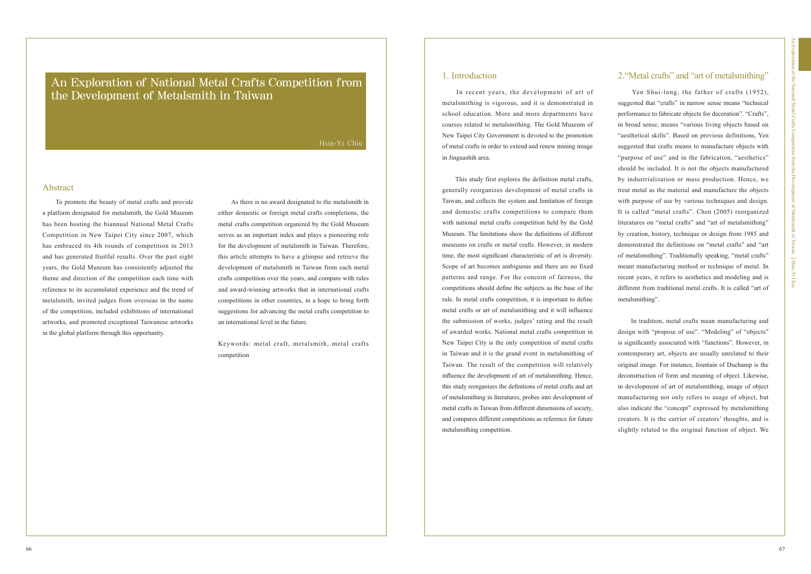To promote the beauty of metal crafts and provide a platform designated for metalsmith, the Gold Museum has been hosting the biannual National Metal Crafts Competition in New Taipei City since 2007, which has embraced its 4th rounds of competition in 2013 and has generated fruitful results. Over the past eight years, the Gold Museum has consistently adjusted the theme and direction of the competition each time with reference to its accumulated experience and the trend of metalsmith, invited judges from overseas in the name of the competition, included exhibitions of international artworks, and promoted exceptional Taiwanese artworks in the global platform through this opportunity.

An Exploration of National Metal Crafts Competition from the Development of Metalsmith in Taiwan

> As there is no award designated to the metalsmith in either domestic or foreign metal crafts completions, the metal crafts competition organized by the Gold Museum serves as an important index and plays a pioneering role for the development of metalsmith in Taiwan. Therefore, this article attempts to have a glimpse and retrieve the development of metalsmith in Taiwan from each metal crafts competition over the years, and compare with rules and award-winning artworks that in international crafts competitions in other countries, in a hope to bring forth suggestions for advancing the metal crafts competition to an international level in the future.

> Keywords: metal craft, metalsmith, metal crafts competition

### Hsin-Yi Chiu

## **Abstract**

# 1. Introduction 2."Metal crafts" and "art of metalsmithing"

 In recent years, the development of art of metalsmithing is vigorous, and it is demonstrated in school education. More and more departments have courses related to metalsmithing. The Gold Museum of New Taipei City Government is devoted to the promotion of metal crafts in order to extend and renew mining image in Jinguashih area.

 This study first explores the definition metal crafts, generally reorganizes development of metal crafts in Taiwan, and collects the system and limitation of foreign and domestic crafts competitions to compare them with national metal crafts competition held by the Gold Museum. The limitations show the definitions of different museums on crafts or metal crafts. However, in modern time, the most significant characteristic of art is diversity. Scope of art becomes ambiguous and there are no fixed patterns and range. For the concern of fairness, the competitions should define the subjects as the base of the rule. In metal crafts competition, it is important to define metal crafts or art of metalsmithing and it will influence the submission of works, judges' rating and the result of awarded works. National metal crafts competition in New Taipei City is the only competition of metal crafts in Taiwan and it is the grand event in metalsmithing of Taiwan. The result of the competition will relatively influence the development of art of metalsmithing. Hence, this study reorganizes the definitions of metal crafts and art of metalsmithing in literatures, probes into development of metal crafts in Taiwan from different dimensions of society, and compares different competitions as reference for future metalsmithing competition.

 Yen Shui-long, the father of crafts (1952), suggested that "crafts" in narrow sense means "technical performance to fabricate objects for decoration". "Crafts", in broad sense, means "various living objects based on "aesthetical skills". Based on previous definitions, Yen suggested that crafts means to manufacture objects with "purpose of use" and in the fabrication, "aesthetics" should be included. It is not the objects manufactured by industrialization or mass production. Hence, we treat metal as the material and manufacture the objects with purpose of use by various techniques and design. It is called "metal crafts". Chen (2005) reorganized literatures on "metal crafts" and "art of metalsmithing" by creation, history, technique or design from 1985 and demonstrated the definitions on "metal crafts" and "art of metalsmithing". Traditionally speaking, "metal crafts" meant manufacturing method or technique of metal. In recent years, it refers to aesthetics and modeling and is different from traditional metal crafts. It is called "art of metalsmithing".

 In tradition, metal crafts mean manufacturing and design with "propose of use". "Modeling" of "objects" is significantly associated with "functions". However, in contemporary art, objects are usually unrelated to their original image. For instance, fountain of Duchamp is the deconstruction of form and meaning of object. Likewise, in development of art of metalsmithing, image of object manufacturing not only refers to usage of object, but also indicate the "concept" expressed by metalsmithing creators. It is the carrier of creators' thoughts, and is slightly related to the original function of object. We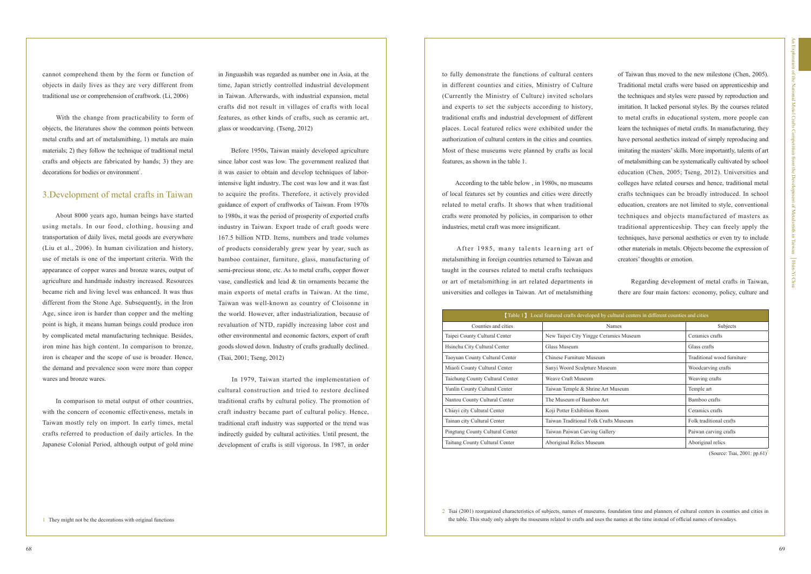With the change from practicability to form of objects, the literatures show the common points between metal crafts and art of metalsmithing, 1) metals are main materials; 2) they follow the technique of traditional metal crafts and objects are fabricated by hands; 3) they are decorations for bodies or environment<sup>1</sup>.

cannot comprehend them by the form or function of objects in daily lives as they are very different from traditional use or comprehension of craftwork. (Li, 2006)

 About 8000 years ago, human beings have started using metals. In our food, clothing, housing and transportation of daily lives, metal goods are everywhere (Liu et al., 2006). In human civilization and history, use of metals is one of the important criteria. With the appearance of copper wares and bronze wares, output of agriculture and handmade industry increased. Resources became rich and living level was enhanced. It was thus different from the Stone Age. Subsequently, in the Iron Age, since iron is harder than copper and the melting point is high, it means human beings could produce iron by complicated metal manufacturing technique. Besides, iron mine has high content. In comparison to bronze, iron is cheaper and the scope of use is broader. Hence, the demand and prevalence soon were more than copper wares and bronze wares.

 In comparison to metal output of other countries, with the concern of economic effectiveness, metals in Taiwan mostly rely on import. In early times, metal crafts referred to production of daily articles. In the Japanese Colonial Period, although output of gold mine

## 3.Development of metal crafts in Taiwan

in Jinguashih was regarded as number one in Asia, at the time, Japan strictly controlled industrial development in Taiwan. Afterwards, with industrial expansion, metal crafts did not result in villages of crafts with local features, as other kinds of crafts, such as ceramic art, glass or woodcarving. (Tseng, 2012)

 Before 1950s, Taiwan mainly developed agriculture since labor cost was low. The government realized that it was easier to obtain and develop techniques of laborintensive light industry. The cost was low and it was fast to acquire the profits. Therefore, it actively provided guidance of export of craftworks of Taiwan. From 1970s to 1980s, it was the period of prosperity of exported crafts industry in Taiwan. Export trade of craft goods were 167.5 billion NTD. Items, numbers and trade volumes of products considerably grew year by year, such as bamboo container, furniture, glass, manufacturing of semi-precious stone, etc. As to metal crafts, copper flower vase, candlestick and lead & tin ornaments became the main exports of metal crafts in Taiwan. At the time, Taiwan was well-known as country of Cloisonne in the world. However, after industrialization, because of revaluation of NTD, rapidly increasing labor cost and other environmental and economic factors, export of craft goods slowed down. Industry of crafts gradually declined. (Tsai, 2001; Tseng, 2012)

 In 1979, Taiwan started the implementation of cultural construction and tried to restore declined traditional crafts by cultural policy. The promotion of craft industry became part of cultural policy. Hence, traditional craft industry was supported or the trend was indirectly guided by cultural activities. Until present, the development of crafts is still vigorous. In 1987, in order

to fully demonstrate the functions of cultural centers in different counties and cities, Ministry of Culture (Currently the Ministry of Culture) invited scholars and experts to set the subjects according to history, traditional crafts and industrial development of different places. Local featured relics were exhibited under the authorization of cultural centers in the cities and counties. Most of these museums were planned by crafts as local features, as shown in the table 1.

 According to the table below , in 1980s, no museums of local features set by counties and cities were directly related to metal crafts. It shows that when traditional crafts were promoted by policies, in comparison to other industries, metal craft was more insignificant.

 After 1985, many talents learning art of metalsmithing in foreign countries returned to Taiwan and taught in the courses related to metal crafts techniques or art of metalsmithing in art related departments in universities and colleges in Taiwan. Art of metalsmithing

2 Tsai (2001) reorganized characteristics of subjects, names of museums, foundation time and planners of cultural centers in counties and cities in the table. This study only adopts the museums related to crafts and uses the names at the time instead of official names of nowadays.

| <b>Table 1</b> Local featured crafts developed by cultural centers in different counties and cities |                                        |                            |  |  |  |  |
|-----------------------------------------------------------------------------------------------------|----------------------------------------|----------------------------|--|--|--|--|
| Counties and cities                                                                                 | Names                                  | Subjects                   |  |  |  |  |
| Taipei County Cultural Center                                                                       | New Taipei City Yingge Ceramics Museum | Ceramics crafts            |  |  |  |  |
| Hsinchu City Cultural Center                                                                        | Glass Museum                           | Glass crafts               |  |  |  |  |
| Taoyuan County Cultural Center                                                                      | Chinese Furniture Museum               | Traditional wood furniture |  |  |  |  |
| Miaoli County Cultural Center                                                                       | Sanyi Woord Sculpture Museum           | Woodcarving crafts         |  |  |  |  |
| Taichung County Cultural Center                                                                     | Weave Craft Museum                     | Weaving crafts             |  |  |  |  |
| Yunlin County Cultural Center                                                                       | Taiwan Temple & Shrine Art Museum      | Temple art                 |  |  |  |  |
| Nantou County Cultural Center                                                                       | The Museum of Bamboo Art               | Bamboo crafts              |  |  |  |  |
| Chiavi city Cultural Center                                                                         | Koji Potter Exhibition Room            | Ceramics crafts            |  |  |  |  |
| Tainan city Cultural Center                                                                         | Taiwan Traditional Folk Crafts Museum  | Folk traditional crafts    |  |  |  |  |
| Pingtung County Cultural Center                                                                     | Taiwan Paiwan Carving Gallery          | Paiwan carving crafts      |  |  |  |  |
| Taitung County Cultural Center                                                                      | Aboriginal Relics Museum               | Aboriginal relics          |  |  |  |  |

of Taiwan thus moved to the new milestone (Chen, 2005). Traditional metal crafts were based on apprenticeship and the techniques and styles were passed by reproduction and imitation. It lacked personal styles. By the courses related to metal crafts in educational system, more people can learn the techniques of metal crafts. In manufacturing, they have personal aesthetics instead of simply reproducing and imitating the masters' skills. More importantly, talents of art of metalsmithing can be systematically cultivated by school education (Chen, 2005; Tseng, 2012). Universities and colleges have related courses and hence, traditional metal crafts techniques can be broadly introduced. In school education, creators are not limited to style, conventional techniques and objects manufactured of masters as traditional apprenticeship. They can freely apply the techniques, have personal aesthetics or even try to include other materials in metals. Objects become the expression of creators' thoughts or emotion.

|  |  | Regarding development of metal crafts in Taiwan,          |  |  |
|--|--|-----------------------------------------------------------|--|--|
|  |  | there are four main factors: economy, policy, culture and |  |  |

(Source: Tsai, 2001: pp.61)<sup>2</sup>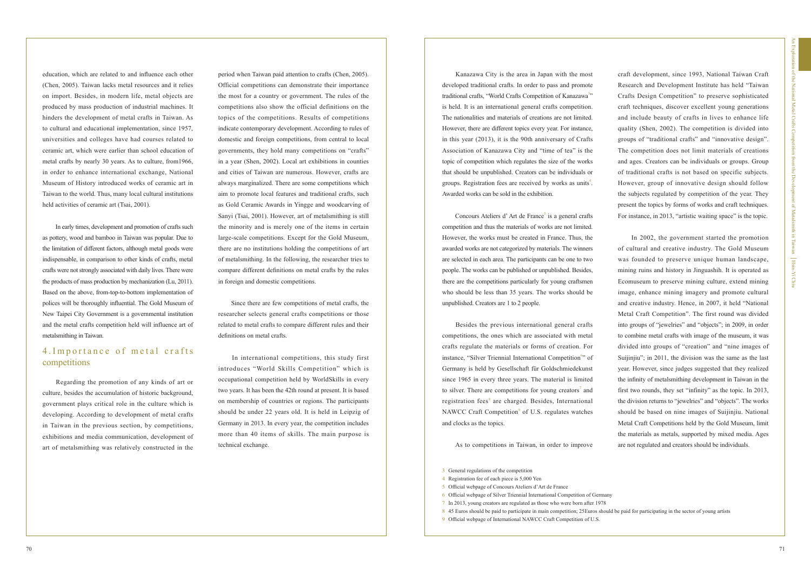education, which are related to and influence each other (Chen, 2005). Taiwan lacks metal resources and it relies on import. Besides, in modern life, metal objects are produced by mass production of industrial machines. It hinders the development of metal crafts in Taiwan. As to cultural and educational implementation, since 1957, universities and colleges have had courses related to ceramic art, which were earlier than school education of metal crafts by nearly 30 years. As to culture, from1966, in order to enhance international exchange, National Museum of History introduced works of ceramic art in Taiwan to the world. Thus, many local cultural institutions held activities of ceramic art (Tsai, 2001).

 In early times, development and promotion of crafts such as pottery, wood and bamboo in Taiwan was popular. Due to the limitation of different factors, although metal goods were indispensable, in comparison to other kinds of crafts, metal crafts were not strongly associated with daily lives. There were the products of mass production by mechanization (Lu, 2011). Based on the above, from-top-to-bottom implementation of polices will be thoroughly influential. The Gold Museum of New Taipei City Government is a governmental institution and the metal crafts competition held will influence art of metalsmithing in Taiwan.

# 4. Importance of metal crafts competitions

period when Taiwan paid attention to crafts (Chen, 2005). Official competitions can demonstrate their importance the most for a country or government. The rules of the competitions also show the official definitions on the topics of the competitions. Results of competitions indicate contemporary development. According to rules of domestic and foreign competitions, from central to local governments, they hold many competitions on "crafts" in a year (Shen, 2002). Local art exhibitions in counties and cities of Taiwan are numerous. However, crafts are always marginalized. There are some competitions which aim to promote local features and traditional crafts, such as Gold Ceramic Awards in Yingge and woodcarving of Sanyi (Tsai, 2001). However, art of metalsmithing is still the minority and is merely one of the items in certain large-scale competitions. Except for the Gold Museum, there are no institutions holding the competitions of art of metalsmithing. In the following, the researcher tries to compare different definitions on metal crafts by the rules in foreign and domestic competitions.

Concours Ateliers d'Art de France<sup>5</sup> is a general crafts competition and thus the materials of works are not limited. However, the works must be created in France. Thus, the awarded works are not categorized by materials. The winners are selected in each area. The participants can be one to two people. The works can be published or unpublished. Besides, there are the competitions particularly for young craftsmen who should be less than 35 years. The works should be unpublished. Creators are 1 to 2 people.

 Since there are few competitions of metal crafts, the researcher selects general crafts competitions or those related to metal crafts to compare different rules and their definitions on metal crafts.

craft development, since 1993, National Taiwan Craft Research and Development Institute has held "Taiwan Crafts Design Competition" to preserve sophisticated craft techniques, discover excellent young generations and include beauty of crafts in lives to enhance life quality (Shen, 2002). The competition is divided into groups of "traditional crafts" and "innovative design". The competition does not limit materials of creations and ages. Creators can be individuals or groups. Group of traditional crafts is not based on specific subjects. However, group of innovative design should follow the subjects regulated by competition of the year. They present the topics by forms of works and craft techniques. For instance, in 2013, "artistic waiting space" is the topic.

 In international competitions, this study first introduces "World Skills Competition" which is occupational competition held by WorldSkills in every two years. It has been the 42th round at present. It is based on membership of countries or regions. The participants should be under 22 years old. It is held in Leipzig of Germany in 2013. In every year, the competition includes more than 40 items of skills. The main purpose is technical exchange.

 Regarding the promotion of any kinds of art or culture, besides the accumulation of historic background, government plays critical role in the culture which is developing. According to development of metal crafts in Taiwan in the previous section, by competitions, exhibitions and media communication, development of art of metalsmithing was relatively constructed in the

 Kanazawa City is the area in Japan with the most developed traditional crafts. In order to pass and promote traditional crafts, "World Crafts Competition of Kanazawa"<sup>33</sup> is held. It is an international general crafts competition. The nationalities and materials of creations are not limited. However, there are different topics every year. For instance, in this year (2013), it is the 90th anniversary of Crafts Association of Kanazawa City and "time of tea" is the topic of competition which regulates the size of the works that should be unpublished. Creators can be individuals or groups. Registration fees are received by works as units<sup>4</sup>. Awarded works can be sold in the exhibition.

 Besides the previous international general crafts competitions, the ones which are associated with metal crafts regulate the materials or forms of creation. For instance, "Silver Triennial International Competition<sup>6</sup>" of Germany is held by Gesellschaft für Goldschmiedekunst since 1965 in every three years. The material is limited to silver. There are competitions for young creators<sup>7</sup> and registration fees<sup>8</sup> are charged. Besides, International NAWCC Craft Competition<sup>9</sup> of U.S. regulates watches and clocks as the topics.

As to competitions in Taiwan, in order to improve

 In 2002, the government started the promotion of cultural and creative industry. The Gold Museum was founded to preserve unique human landscape, mining ruins and history in Jinguashih. It is operated as Ecomuseum to preserve mining culture, extend mining image, enhance mining imagery and promote cultural and creative industry. Hence, in 2007, it held "National Metal Craft Competition". The first round was divided into groups of "jewelries" and "objects"; in 2009, in order to combine metal crafts with image of the museum, it was divided into groups of "creation" and "nine images of Suijinjiu"; in 2011, the division was the same as the last year. However, since judges suggested that they realized the infinity of metalsmithing development in Taiwan in the first two rounds, they set "infinity" as the topic. In 2013, the division returns to "jewelries" and "objects". The works should be based on nine images of Suijinjiu. National Metal Craft Competitions held by the Gold Museum, limit the materials as metals, supported by mixed media. Ages are not regulated and creators should be individuals.

8 45 Euros should be paid to participate in main competition; 25Euros should be paid for participating in the sector of young artists

- 5 Official webpage of Concours Ateliers d'Art de France
- 6 Official webpage of Silver Triennial International Competition of Germany
- 7 In 2013, young creators are regulated as those who were born after 1978
- 9 Official webpage of International NAWCC Craft Competition of U.S.

<sup>3</sup> General regulations of the competition

<sup>4</sup> Registration fee of each piece is 5,000 Yen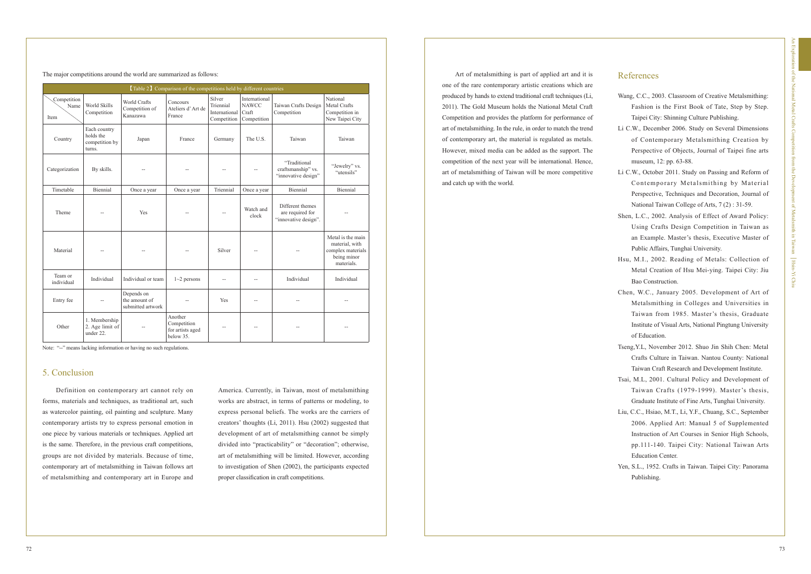The major competitions around the world are summarized as follows: Art of metalsmithing is part of applied art and it is

| [Table 2] Comparison of the competitions held by different countries |                                                       |                                                  |                                                         |                                                     |                                                       |                                                              |                                                                                       |
|----------------------------------------------------------------------|-------------------------------------------------------|--------------------------------------------------|---------------------------------------------------------|-----------------------------------------------------|-------------------------------------------------------|--------------------------------------------------------------|---------------------------------------------------------------------------------------|
| Competition<br>Name<br>Item                                          | World Skills<br>Competition                           | World Crafts<br>Competition of<br>Kanazawa       | Concours<br>Ateliers d'Art de<br>France                 | Silver<br>Triennial<br>International<br>Competition | International<br><b>NAWCC</b><br>Craft<br>Competition | Taiwan Crafts Design<br>Competition                          | National<br><b>Metal Crafts</b><br>Competition in<br>New Taipei City                  |
| Country                                                              | Each country<br>holds the<br>competition by<br>turns. | Japan                                            | France                                                  | Germany                                             | The U.S.                                              | Taiwan                                                       | Taiwan                                                                                |
| Categorization                                                       | By skills.                                            |                                                  |                                                         |                                                     |                                                       | "Traditional<br>craftsmanship" vs.<br>"innovative design"    | "Jewelry" vs.<br>"utensils"                                                           |
| Timetable                                                            | Biennial                                              | Once a year                                      | Once a year                                             | Triennial                                           | Once a year                                           | Biennial                                                     | Biennial                                                                              |
| Theme                                                                |                                                       | Yes                                              |                                                         |                                                     | Watch and<br>clock                                    | Different themes<br>are required for<br>"innovative design". |                                                                                       |
| Material                                                             |                                                       |                                                  |                                                         | Silver                                              |                                                       |                                                              | Metal is the main<br>material, with<br>complex materials<br>being minor<br>materials. |
| Team or<br>individual                                                | Individual                                            | Individual or team                               | $1~2$ persons                                           |                                                     | $-$                                                   | Individual                                                   | Individual                                                                            |
| Entry fee                                                            |                                                       | Depends on<br>the amount of<br>submitted artwork |                                                         | Yes                                                 | $-$                                                   |                                                              |                                                                                       |
| Other                                                                | 1. Membership<br>2. Age limit of<br>under 22.         |                                                  | Another<br>Competition<br>for artists aged<br>below 35. |                                                     |                                                       |                                                              |                                                                                       |

Note: "--" means lacking information or having no such regulations.

## 5. Conclusion

 Definition on contemporary art cannot rely on forms, materials and techniques, as traditional art, such as watercolor painting, oil painting and sculpture. Many contemporary artists try to express personal emotion in one piece by various materials or techniques. Applied art is the same. Therefore, in the previous craft competitions, groups are not divided by materials. Because of time, contemporary art of metalsmithing in Taiwan follows art of metalsmithing and contemporary art in Europe and

# References

- Wang, C.C., 2003. Classroom of Creative Metalsmithing: Fashion is the First Book of Tate, Step by Step. Taipei City: Shinning Culture Publishing.
- Li C.W., December 2006. Study on Several Dimensions of Contemporary Metalsmithing Creation by Perspective of Objects, Journal of Taipei fine arts museum, 12: pp. 63-88.
- Li C.W., October 2011. Study on Passing and Reform of Contemporary Metalsmithing by Material Perspective, Techniques and Decoration, Journal of National Taiwan College of Arts, 7 (2) : 31-59.
- Shen, L.C., 2002. Analysis of Effect of Award Policy: Using Crafts Design Competition in Taiwan as an Example. Master's thesis, Executive Master of Public Affairs, Tunghai University.
- Hsu, M.I., 2002. Reading of Metals: Collection of Metal Creation of Hsu Mei-ying. Taipei City: Jiu Bao Construction.
- Chen, W.C., January 2005. Development of Art of Metalsmithing in Colleges and Universities in Taiwan from 1985. Master's thesis, Graduate Institute of Visual Arts, National Pingtung University of Education.
- Tseng,Y.L, November 2012. Shuo Jin Shih Chen: Metal Crafts Culture in Taiwan. Nantou County: National Taiwan Craft Research and Development Institute.
- Tsai, M.L, 2001. Cultural Policy and Development of Taiwan Crafts (1979-1999). Master's thesis, Graduate Institute of Fine Arts, Tunghai University.
- Liu, C.C., Hsiao, M.T., Li, Y.F., Chuang, S.C., September 2006. Applied Art: Manual 5 of Supplemented Instruction of Art Courses in Senior High Schools, pp.111-140. Taipei City: National Taiwan Arts Education Center.
- Yen, S.L., 1952. Crafts in Taiwan. Taipei City: Panorama Publishing.

America. Currently, in Taiwan, most of metalsmithing works are abstract, in terms of patterns or modeling, to express personal beliefs. The works are the carriers of creators' thoughts (Li, 2011). Hsu (2002) suggested that development of art of metalsmithing cannot be simply divided into "practicability" or "decoration"; otherwise, art of metalsmithing will be limited. However, according to investigation of Shen (2002), the participants expected proper classification in craft competitions.

one of the rare contemporary artistic creations which are produced by hands to extend traditional craft techniques (Li, 2011). The Gold Museum holds the National Metal Craft Competition and provides the platform for performance of art of metalsmithing. In the rule, in order to match the trend of contemporary art, the material is regulated as metals. However, mixed media can be added as the support. The competition of the next year will be international. Hence, art of metalsmithing of Taiwan will be more competitive and catch up with the world.